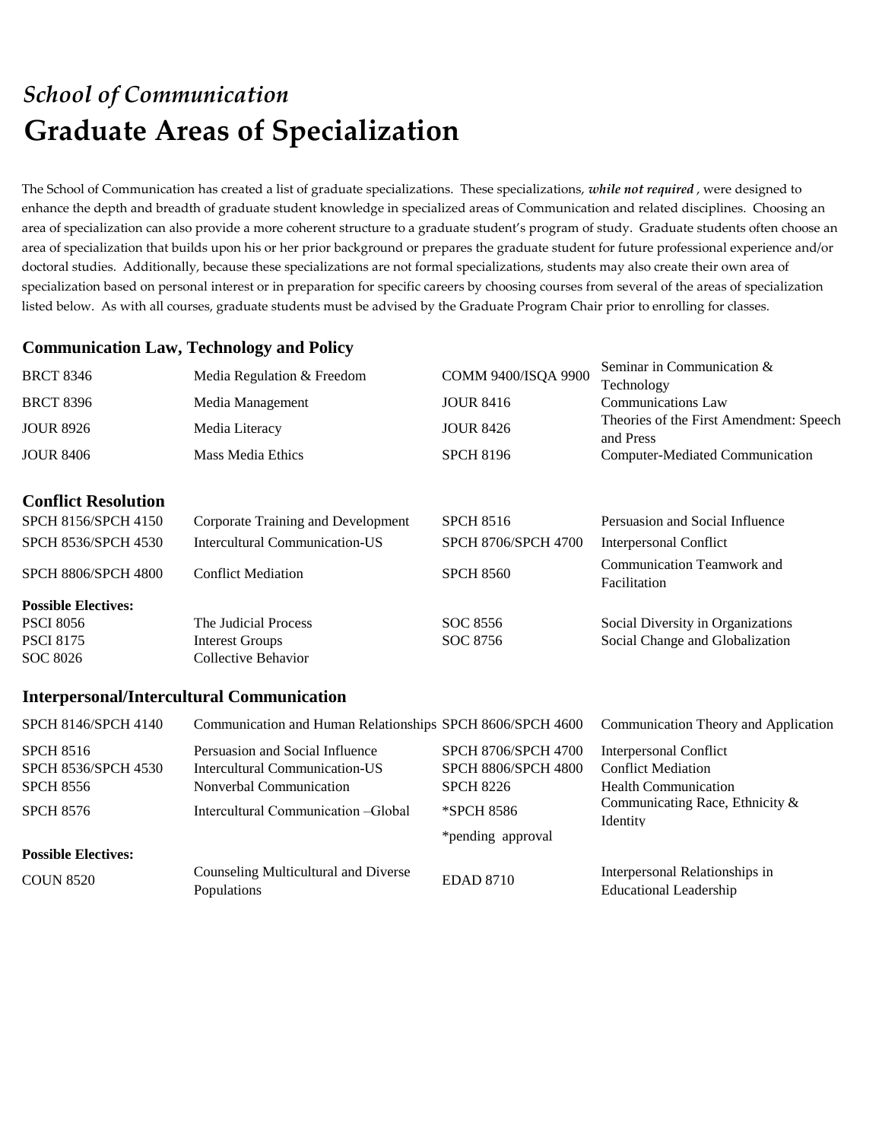# *School of Communication* **Graduate Areas of Specialization**

The School of Communication has created a list of graduate specializations. These specializations, *while not required* , were designed to enhance the depth and breadth of graduate student knowledge in specialized areas of Communication and related disciplines. Choosing an area of specialization can also provide a more coherent structure to a graduate student's program of study. Graduate students often choose an area of specialization that builds upon his or her prior background or prepares the graduate student for future professional experience and/or doctoral studies. Additionally, because these specializations are not formal specializations, students may also create their own area of specialization based on personal interest or in preparation for specific careers by choosing courses from several of the areas of specialization listed below. As with all courses, graduate students must be advised by the Graduate Program Chair prior to enrolling for classes.

### **Communication Law, Technology and Policy**

| <b>BRCT 8346</b>           | Media Regulation & Freedom         | COMM 9400/ISQA 9900        | Seminar in Communication &<br>Technology             |
|----------------------------|------------------------------------|----------------------------|------------------------------------------------------|
| <b>BRCT 8396</b>           | Media Management                   | <b>JOUR 8416</b>           | Communications Law                                   |
| <b>JOUR 8926</b>           | Media Literacy                     | <b>JOUR 8426</b>           | Theories of the First Amendment: Speech<br>and Press |
| <b>JOUR 8406</b>           | Mass Media Ethics                  | <b>SPCH 8196</b>           | Computer-Mediated Communication                      |
| <b>Conflict Resolution</b> |                                    |                            |                                                      |
| <b>SPCH 8156/SPCH 4150</b> | Corporate Training and Development | <b>SPCH 8516</b>           | Persuasion and Social Influence                      |
| <b>SPCH 8536/SPCH 4530</b> | Intercultural Communication-US     | <b>SPCH 8706/SPCH 4700</b> | Interpersonal Conflict                               |
| <b>SPCH 8806/SPCH 4800</b> | <b>Conflict Mediation</b>          | <b>SPCH 8560</b>           | Communication Teamwork and<br>Facilitation           |
| <b>Possible Electives:</b> |                                    |                            |                                                      |
| <b>PSCI 8056</b>           | The Judicial Process               | SOC 8556                   | Social Diversity in Organizations                    |
| <b>PSCI 8175</b>           | <b>Interest Groups</b>             | SOC 8756                   | Social Change and Globalization                      |
| SOC 8026                   | Collective Behavior                |                            |                                                      |
|                            |                                    |                            |                                                      |

#### **Interpersonal/Intercultural Communication**

| SPCH 8146/SPCH 4140                            | Communication and Human Relationships SPCH 8606/SPCH 4600         |                                                          | Communication Theory and Application                            |
|------------------------------------------------|-------------------------------------------------------------------|----------------------------------------------------------|-----------------------------------------------------------------|
| <b>SPCH 8516</b><br><b>SPCH 8536/SPCH 4530</b> | Persuasion and Social Influence<br>Intercultural Communication-US | <b>SPCH 8706/SPCH 4700</b><br><b>SPCH 8806/SPCH 4800</b> | <b>Interpersonal Conflict</b><br><b>Conflict Mediation</b>      |
| <b>SPCH 8556</b>                               | Nonverbal Communication                                           | <b>SPCH 8226</b>                                         | <b>Health Communication</b>                                     |
| <b>SPCH 8576</b>                               | Intercultural Communication – Global                              | *SPCH 8586<br>*pending approval                          | Communicating Race, Ethnicity &<br>Identity                     |
| <b>Possible Electives:</b>                     |                                                                   |                                                          |                                                                 |
| <b>COUN 8520</b>                               | Counseling Multicultural and Diverse<br>Populations               | <b>EDAD 8710</b>                                         | Interpersonal Relationships in<br><b>Educational Leadership</b> |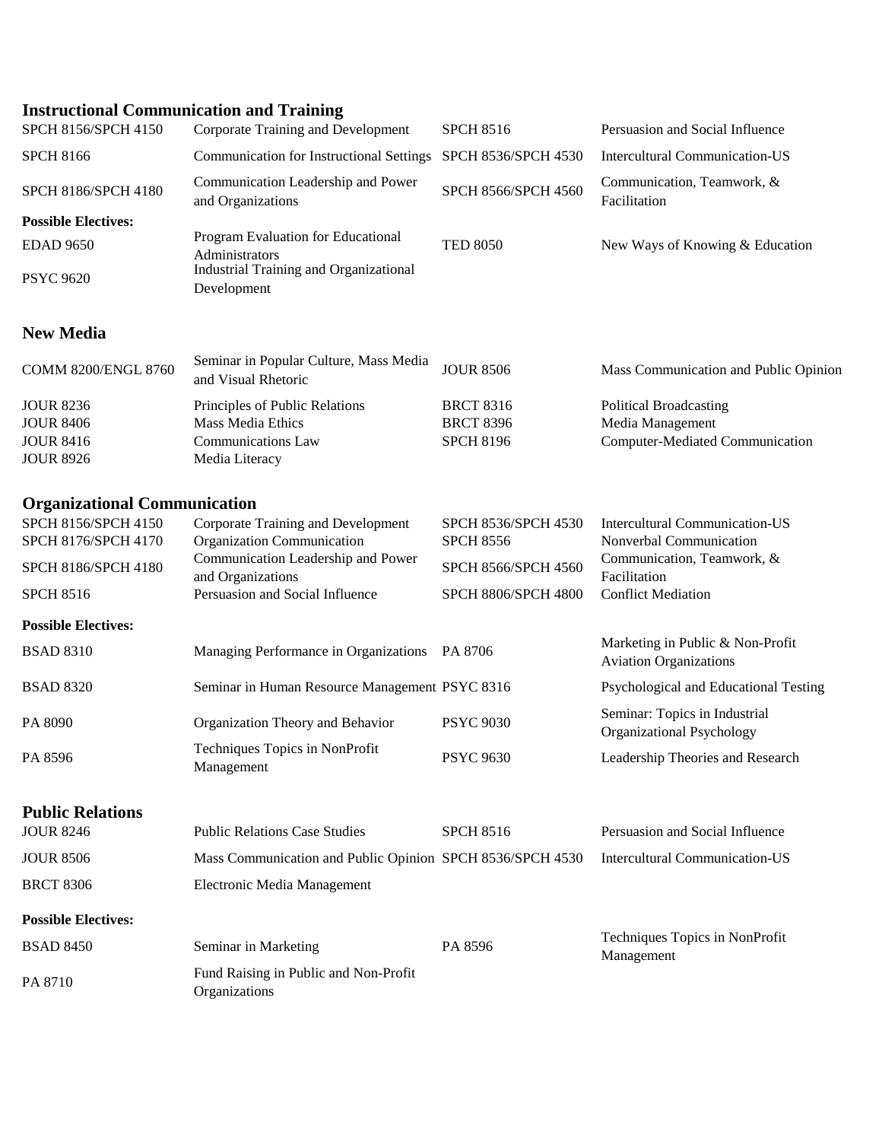## **Instructional Communication and Training**

| SPCH 8156/SPCH 4150                        | Corporate Training and Development                                                                            | <b>SPCH 8516</b>                        | Persuasion and Social Influence                                   |
|--------------------------------------------|---------------------------------------------------------------------------------------------------------------|-----------------------------------------|-------------------------------------------------------------------|
| <b>SPCH 8166</b>                           | <b>Communication for Instructional Settings</b>                                                               | SPCH 8536/SPCH 4530                     | <b>Intercultural Communication-US</b>                             |
| SPCH 8186/SPCH 4180                        | Communication Leadership and Power<br>and Organizations                                                       | SPCH 8566/SPCH 4560                     | Communication, Teamwork, &<br>Facilitation                        |
| <b>Possible Electives:</b>                 |                                                                                                               |                                         |                                                                   |
| <b>EDAD 9650</b>                           | Program Evaluation for Educational<br>Administrators<br>Industrial Training and Organizational<br>Development | <b>TED 8050</b>                         | New Ways of Knowing & Education                                   |
| <b>PSYC 9620</b>                           |                                                                                                               |                                         |                                                                   |
| <b>New Media</b>                           |                                                                                                               |                                         |                                                                   |
| COMM 8200/ENGL 8760                        | Seminar in Popular Culture, Mass Media<br>and Visual Rhetoric                                                 | <b>JOUR 8506</b>                        | Mass Communication and Public Opinion                             |
| <b>JOUR 8236</b>                           | Principles of Public Relations                                                                                | <b>BRCT 8316</b>                        | <b>Political Broadcasting</b>                                     |
| <b>JOUR 8406</b>                           | Mass Media Ethics                                                                                             | <b>BRCT 8396</b>                        | Media Management                                                  |
| <b>JOUR 8416</b><br><b>JOUR 8926</b>       | Communications Law<br>Media Literacy                                                                          | <b>SPCH 8196</b>                        | <b>Computer-Mediated Communication</b>                            |
| <b>Organizational Communication</b>        |                                                                                                               |                                         |                                                                   |
| SPCH 8156/SPCH 4150<br>SPCH 8176/SPCH 4170 | <b>Corporate Training and Development</b><br>Organization Communication                                       | SPCH 8536/SPCH 4530<br><b>SPCH 8556</b> | <b>Intercultural Communication-US</b><br>Nonverbal Communication  |
| SPCH 8186/SPCH 4180                        | Communication Leadership and Power<br>and Organizations                                                       | SPCH 8566/SPCH 4560                     | Communication, Teamwork, &<br>Facilitation                        |
| <b>SPCH 8516</b>                           | Persuasion and Social Influence                                                                               | SPCH 8806/SPCH 4800                     | <b>Conflict Mediation</b>                                         |
| <b>Possible Electives:</b>                 |                                                                                                               |                                         |                                                                   |
| <b>BSAD 8310</b>                           | Managing Performance in Organizations PA 8706                                                                 |                                         | Marketing in Public & Non-Profit<br><b>Aviation Organizations</b> |
| <b>BSAD 8320</b>                           | Seminar in Human Resource Management PSYC 8316                                                                |                                         | Psychological and Educational Testing                             |
| PA 8090                                    | Organization Theory and Behavior                                                                              | <b>PSYC 9030</b>                        | Seminar: Topics in Industrial<br>Organizational Psychology        |
| PA 8596                                    | Techniques Topics in NonProfit<br>Management                                                                  | <b>PSYC 9630</b>                        | Leadership Theories and Research                                  |
| <b>Public Relations</b>                    |                                                                                                               |                                         |                                                                   |
| <b>JOUR 8246</b>                           | <b>Public Relations Case Studies</b>                                                                          | <b>SPCH 8516</b>                        | Persuasion and Social Influence                                   |
| <b>JOUR 8506</b>                           | Mass Communication and Public Opinion SPCH 8536/SPCH 4530                                                     |                                         | <b>Intercultural Communication-US</b>                             |
| <b>BRCT 8306</b>                           | Electronic Media Management                                                                                   |                                         |                                                                   |
| <b>Possible Electives:</b>                 |                                                                                                               |                                         |                                                                   |
| <b>BSAD 8450</b>                           | Seminar in Marketing                                                                                          | PA 8596                                 | Techniques Topics in NonProfit<br>Management                      |
| PA 8710                                    | Fund Raising in Public and Non-Profit<br>Organizations                                                        |                                         |                                                                   |